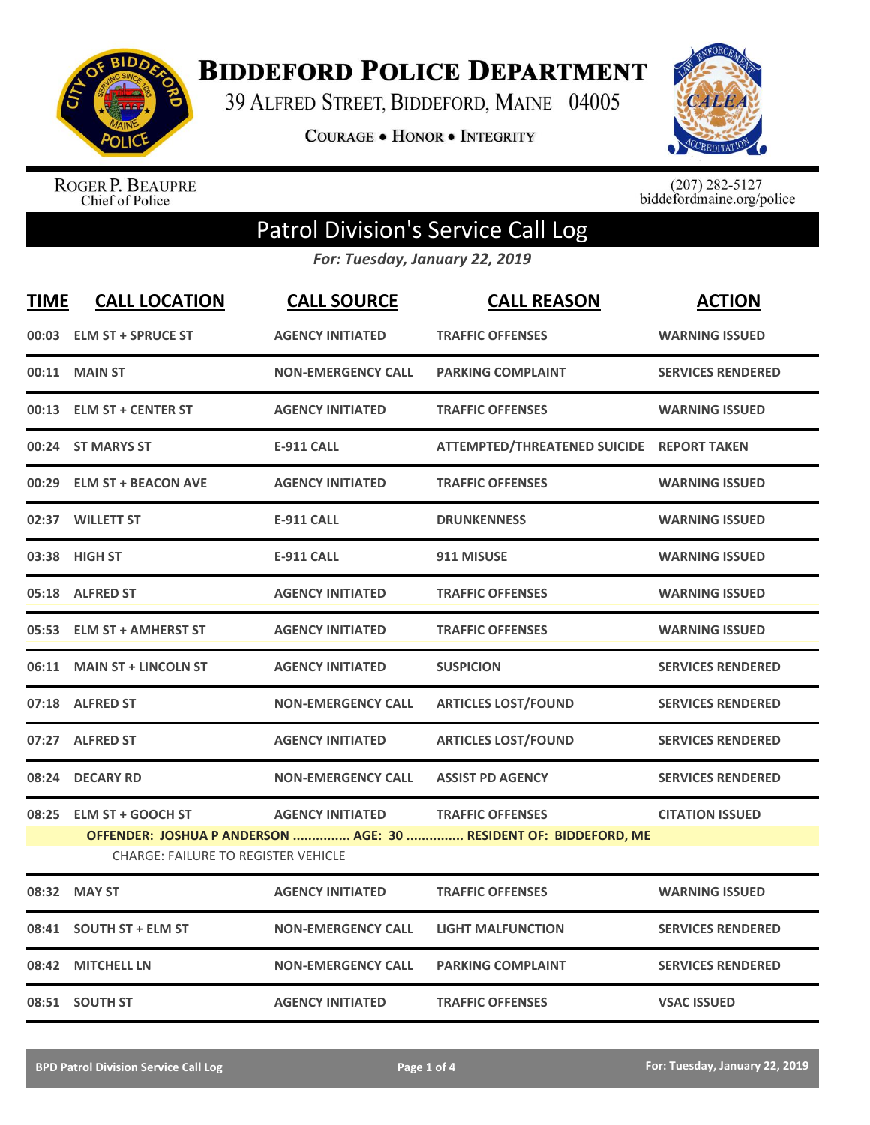

**BIDDEFORD POLICE DEPARTMENT** 

39 ALFRED STREET, BIDDEFORD, MAINE 04005

**COURAGE . HONOR . INTEGRITY** 



ROGER P. BEAUPRE<br>Chief of Police

 $(207)$  282-5127<br>biddefordmaine.org/police

## Patrol Division's Service Call Log

*For: Tuesday, January 22, 2019*

| <b>TIME</b> | <b>CALL LOCATION</b>                       | <b>CALL SOURCE</b>        | <b>CALL REASON</b>                                               | <b>ACTION</b>            |
|-------------|--------------------------------------------|---------------------------|------------------------------------------------------------------|--------------------------|
|             | 00:03 ELM ST + SPRUCE ST                   | <b>AGENCY INITIATED</b>   | <b>TRAFFIC OFFENSES</b>                                          | <b>WARNING ISSUED</b>    |
|             | 00:11 MAIN ST                              | <b>NON-EMERGENCY CALL</b> | <b>PARKING COMPLAINT</b>                                         | <b>SERVICES RENDERED</b> |
|             | 00:13 ELM ST + CENTER ST                   | <b>AGENCY INITIATED</b>   | <b>TRAFFIC OFFENSES</b>                                          | <b>WARNING ISSUED</b>    |
|             | 00:24 ST MARYS ST                          | <b>E-911 CALL</b>         | ATTEMPTED/THREATENED SUICIDE REPORT TAKEN                        |                          |
|             | 00:29 ELM ST + BEACON AVE                  | <b>AGENCY INITIATED</b>   | <b>TRAFFIC OFFENSES</b>                                          | <b>WARNING ISSUED</b>    |
|             | 02:37 WILLETT ST                           | <b>E-911 CALL</b>         | <b>DRUNKENNESS</b>                                               | <b>WARNING ISSUED</b>    |
|             | 03:38 HIGH ST                              | <b>E-911 CALL</b>         | 911 MISUSE                                                       | <b>WARNING ISSUED</b>    |
|             | 05:18 ALFRED ST                            | <b>AGENCY INITIATED</b>   | <b>TRAFFIC OFFENSES</b>                                          | <b>WARNING ISSUED</b>    |
|             | 05:53 ELM ST + AMHERST ST                  | <b>AGENCY INITIATED</b>   | <b>TRAFFIC OFFENSES</b>                                          | <b>WARNING ISSUED</b>    |
|             | 06:11 MAIN ST + LINCOLN ST                 | <b>AGENCY INITIATED</b>   | <b>SUSPICION</b>                                                 | <b>SERVICES RENDERED</b> |
|             | 07:18 ALFRED ST                            | <b>NON-EMERGENCY CALL</b> | <b>ARTICLES LOST/FOUND</b>                                       | <b>SERVICES RENDERED</b> |
|             | 07:27 ALFRED ST                            | <b>AGENCY INITIATED</b>   | <b>ARTICLES LOST/FOUND</b>                                       | <b>SERVICES RENDERED</b> |
|             | 08:24 DECARY RD                            | <b>NON-EMERGENCY CALL</b> | <b>ASSIST PD AGENCY</b>                                          | <b>SERVICES RENDERED</b> |
|             | 08:25 ELM ST + GOOCH ST                    | <b>AGENCY INITIATED</b>   | <b>TRAFFIC OFFENSES</b>                                          | <b>CITATION ISSUED</b>   |
|             |                                            |                           | OFFENDER: JOSHUA P ANDERSON  AGE: 30  RESIDENT OF: BIDDEFORD, ME |                          |
|             | <b>CHARGE: FAILURE TO REGISTER VEHICLE</b> |                           |                                                                  |                          |
|             | 08:32 MAY ST                               | <b>AGENCY INITIATED</b>   | <b>TRAFFIC OFFENSES</b>                                          | <b>WARNING ISSUED</b>    |
| 08:41       | <b>SOUTH ST + ELM ST</b>                   | <b>NON-EMERGENCY CALL</b> | <b>LIGHT MALFUNCTION</b>                                         | <b>SERVICES RENDERED</b> |
| 08:42       | <b>MITCHELL LN</b>                         | <b>NON-EMERGENCY CALL</b> | <b>PARKING COMPLAINT</b>                                         | <b>SERVICES RENDERED</b> |
|             | 08:51 SOUTH ST                             | <b>AGENCY INITIATED</b>   | <b>TRAFFIC OFFENSES</b>                                          | <b>VSAC ISSUED</b>       |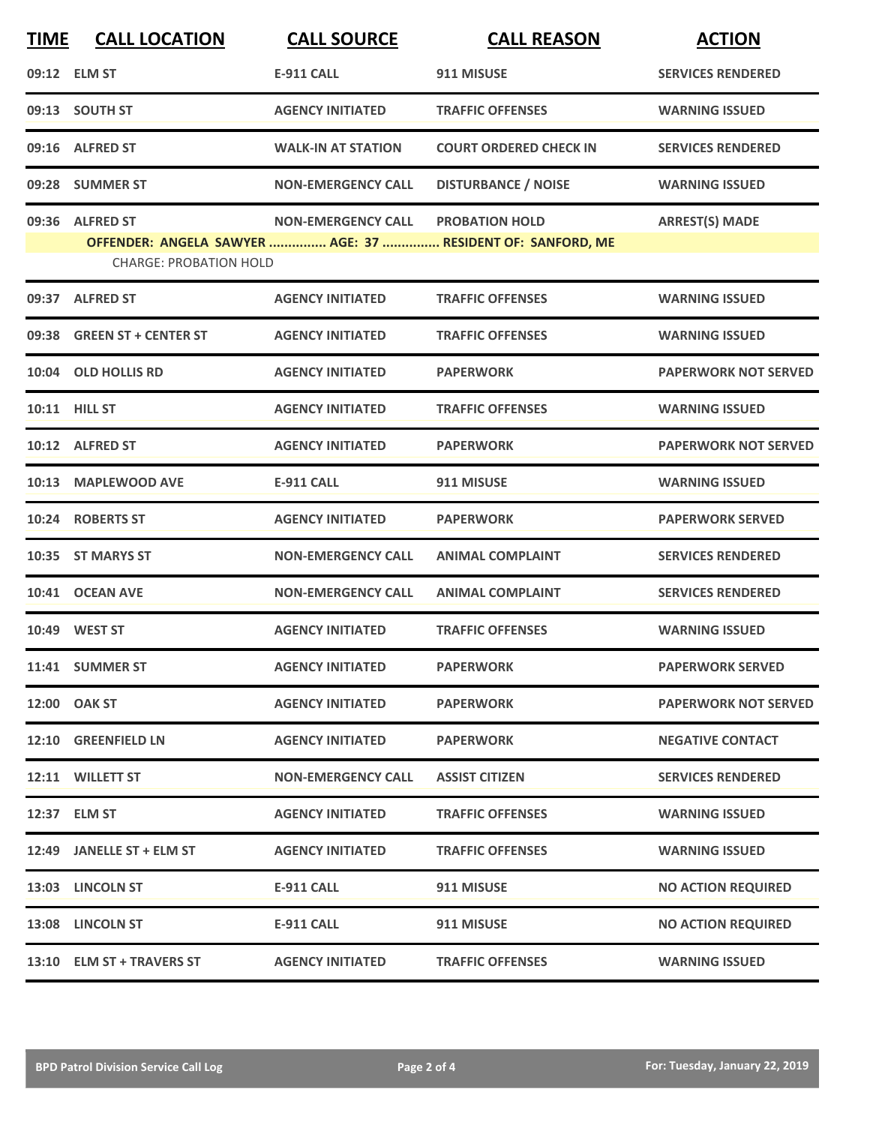| <b>TIME</b> | <b>CALL LOCATION</b>                             | <b>CALL SOURCE</b>        | <b>CALL REASON</b>                                                                  | <b>ACTION</b>               |
|-------------|--------------------------------------------------|---------------------------|-------------------------------------------------------------------------------------|-----------------------------|
|             | 09:12 ELM ST                                     | <b>E-911 CALL</b>         | 911 MISUSE                                                                          | <b>SERVICES RENDERED</b>    |
|             | 09:13 SOUTH ST                                   | <b>AGENCY INITIATED</b>   | <b>TRAFFIC OFFENSES</b>                                                             | <b>WARNING ISSUED</b>       |
|             | 09:16 ALFRED ST                                  | <b>WALK-IN AT STATION</b> | <b>COURT ORDERED CHECK IN</b>                                                       | <b>SERVICES RENDERED</b>    |
|             | 09:28 SUMMER ST                                  | <b>NON-EMERGENCY CALL</b> | <b>DISTURBANCE / NOISE</b>                                                          | <b>WARNING ISSUED</b>       |
|             | 09:36 ALFRED ST<br><b>CHARGE: PROBATION HOLD</b> | <b>NON-EMERGENCY CALL</b> | <b>PROBATION HOLD</b><br>OFFENDER: ANGELA SAWYER  AGE: 37  RESIDENT OF: SANFORD, ME | <b>ARREST(S) MADE</b>       |
|             | 09:37 ALFRED ST                                  | <b>AGENCY INITIATED</b>   | <b>TRAFFIC OFFENSES</b>                                                             | <b>WARNING ISSUED</b>       |
| 09:38       | <b>GREEN ST + CENTER ST</b>                      | <b>AGENCY INITIATED</b>   | <b>TRAFFIC OFFENSES</b>                                                             | <b>WARNING ISSUED</b>       |
|             | 10:04 OLD HOLLIS RD                              | <b>AGENCY INITIATED</b>   | <b>PAPERWORK</b>                                                                    | <b>PAPERWORK NOT SERVED</b> |
|             | 10:11 HILL ST                                    | <b>AGENCY INITIATED</b>   | <b>TRAFFIC OFFENSES</b>                                                             | <b>WARNING ISSUED</b>       |
|             | 10:12 ALFRED ST                                  | <b>AGENCY INITIATED</b>   | <b>PAPERWORK</b>                                                                    | <b>PAPERWORK NOT SERVED</b> |
|             | 10:13 MAPLEWOOD AVE                              | <b>E-911 CALL</b>         | 911 MISUSE                                                                          | <b>WARNING ISSUED</b>       |
|             | 10:24 ROBERTS ST                                 | <b>AGENCY INITIATED</b>   | <b>PAPERWORK</b>                                                                    | <b>PAPERWORK SERVED</b>     |
| 10:35       | <b>ST MARYS ST</b>                               | <b>NON-EMERGENCY CALL</b> | <b>ANIMAL COMPLAINT</b>                                                             | <b>SERVICES RENDERED</b>    |
|             | 10:41 OCEAN AVE                                  | <b>NON-EMERGENCY CALL</b> | <b>ANIMAL COMPLAINT</b>                                                             | <b>SERVICES RENDERED</b>    |
|             | 10:49 WEST ST                                    | <b>AGENCY INITIATED</b>   | <b>TRAFFIC OFFENSES</b>                                                             | <b>WARNING ISSUED</b>       |
|             | 11:41 SUMMER ST                                  | <b>AGENCY INITIATED</b>   | <b>PAPERWORK</b>                                                                    | <b>PAPERWORK SERVED</b>     |
|             | 12:00 OAK ST                                     | <b>AGENCY INITIATED</b>   | <b>PAPERWORK</b>                                                                    | <b>PAPERWORK NOT SERVED</b> |
|             | 12:10 GREENFIELD LN                              | <b>AGENCY INITIATED</b>   | <b>PAPERWORK</b>                                                                    | <b>NEGATIVE CONTACT</b>     |
|             | 12:11 WILLETT ST                                 | <b>NON-EMERGENCY CALL</b> | <b>ASSIST CITIZEN</b>                                                               | <b>SERVICES RENDERED</b>    |
|             | 12:37 ELM ST                                     | <b>AGENCY INITIATED</b>   | <b>TRAFFIC OFFENSES</b>                                                             | <b>WARNING ISSUED</b>       |
|             | 12:49 JANELLE ST + ELM ST                        | <b>AGENCY INITIATED</b>   | <b>TRAFFIC OFFENSES</b>                                                             | <b>WARNING ISSUED</b>       |
|             | 13:03 LINCOLN ST                                 | <b>E-911 CALL</b>         | 911 MISUSE                                                                          | <b>NO ACTION REQUIRED</b>   |
|             | 13:08 LINCOLN ST                                 | <b>E-911 CALL</b>         | 911 MISUSE                                                                          | <b>NO ACTION REQUIRED</b>   |
|             | 13:10 ELM ST + TRAVERS ST                        | <b>AGENCY INITIATED</b>   | <b>TRAFFIC OFFENSES</b>                                                             | <b>WARNING ISSUED</b>       |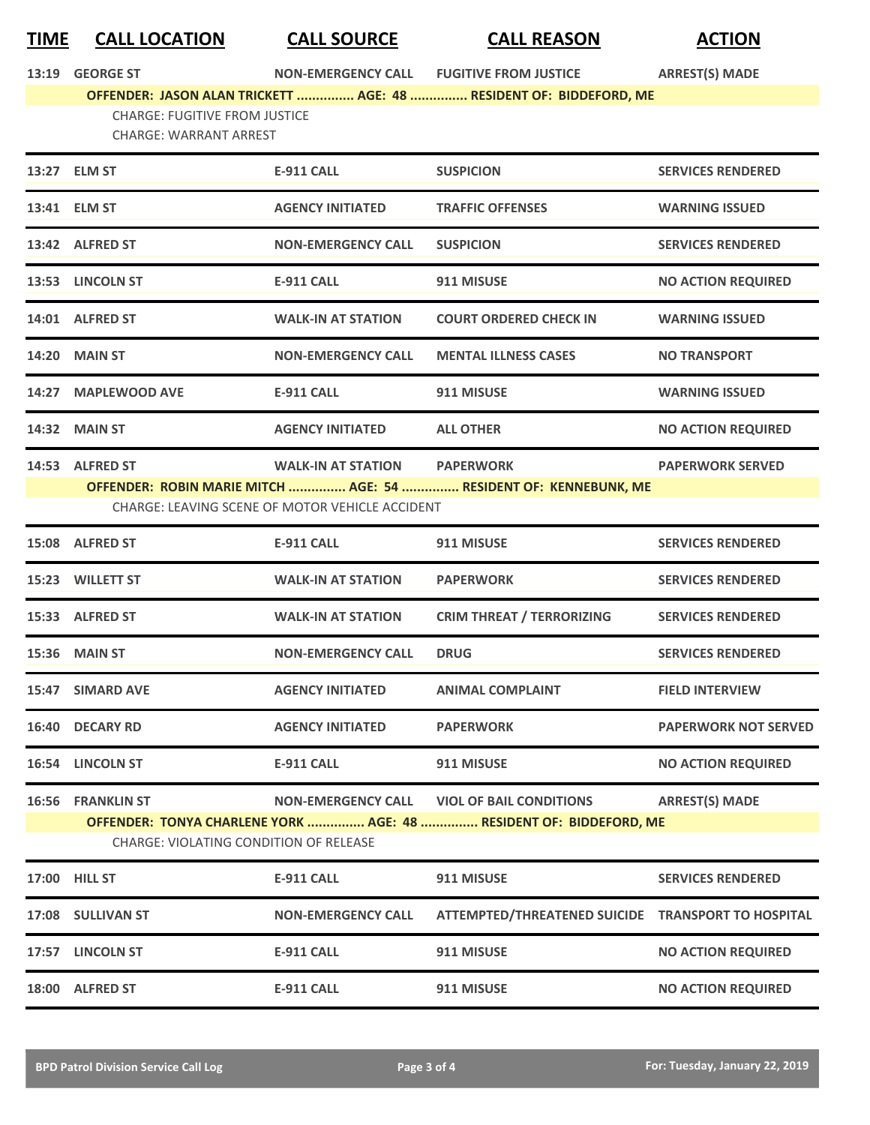## **TIME CALL LOCATION CALL SOURCE CALL REASON ACTION**

| <b>GEORGE ST</b><br>13:19 |  |
|---------------------------|--|
|---------------------------|--|

**13:19 GEORGE ST NON-EMERGENCY CALL FUGITIVE FROM JUSTICE ARREST(S) MADE**

**OFFENDER: JASON ALAN TRICKETT ............... AGE: 48 ............... RESIDENT OF: BIDDEFORD, ME** CHARGE: FUGITIVE FROM JUSTICE CHARGE: WARRANT ARREST

|       | 13:27 ELM ST                                                | <b>E-911 CALL</b>                                                            | <b>SUSPICION</b>                                                                                                 | <b>SERVICES RENDERED</b>     |
|-------|-------------------------------------------------------------|------------------------------------------------------------------------------|------------------------------------------------------------------------------------------------------------------|------------------------------|
|       | 13:41 ELM ST                                                | <b>AGENCY INITIATED</b>                                                      | <b>TRAFFIC OFFENSES</b>                                                                                          | <b>WARNING ISSUED</b>        |
|       | 13:42 ALFRED ST                                             | <b>NON-EMERGENCY CALL</b>                                                    | <b>SUSPICION</b>                                                                                                 | <b>SERVICES RENDERED</b>     |
|       | 13:53 LINCOLN ST                                            | <b>E-911 CALL</b>                                                            | 911 MISUSE                                                                                                       | <b>NO ACTION REQUIRED</b>    |
|       | 14:01 ALFRED ST                                             | <b>WALK-IN AT STATION</b>                                                    | <b>COURT ORDERED CHECK IN</b>                                                                                    | <b>WARNING ISSUED</b>        |
|       | <b>14:20 MAIN ST</b>                                        | <b>NON-EMERGENCY CALL</b>                                                    | <b>MENTAL ILLNESS CASES</b>                                                                                      | <b>NO TRANSPORT</b>          |
|       | 14:27 MAPLEWOOD AVE                                         | <b>E-911 CALL</b>                                                            | 911 MISUSE                                                                                                       | <b>WARNING ISSUED</b>        |
|       | <b>14:32 MAIN ST</b>                                        | <b>AGENCY INITIATED</b>                                                      | <b>ALL OTHER</b>                                                                                                 | <b>NO ACTION REQUIRED</b>    |
|       | 14:53 ALFRED ST                                             | <b>WALK-IN AT STATION</b><br>CHARGE: LEAVING SCENE OF MOTOR VEHICLE ACCIDENT | <b>PAPERWORK</b><br>OFFENDER: ROBIN MARIE MITCH  AGE: 54  RESIDENT OF: KENNEBUNK, ME                             | <b>PAPERWORK SERVED</b>      |
|       | 15:08 ALFRED ST                                             | <b>E-911 CALL</b>                                                            | 911 MISUSE                                                                                                       | <b>SERVICES RENDERED</b>     |
|       | 15:23 WILLETT ST                                            | <b>WALK-IN AT STATION</b>                                                    | <b>PAPERWORK</b>                                                                                                 | <b>SERVICES RENDERED</b>     |
|       | 15:33 ALFRED ST                                             | <b>WALK-IN AT STATION</b>                                                    | <b>CRIM THREAT / TERRORIZING</b>                                                                                 | <b>SERVICES RENDERED</b>     |
|       | 15:36 MAIN ST                                               | <b>NON-EMERGENCY CALL</b>                                                    | <b>DRUG</b>                                                                                                      | <b>SERVICES RENDERED</b>     |
|       | 15:47 SIMARD AVE                                            | <b>AGENCY INITIATED</b>                                                      | <b>ANIMAL COMPLAINT</b>                                                                                          | <b>FIELD INTERVIEW</b>       |
|       | 16:40 DECARY RD                                             | <b>AGENCY INITIATED</b>                                                      | <b>PAPERWORK</b>                                                                                                 | <b>PAPERWORK NOT SERVED</b>  |
|       | 16:54 LINCOLN ST                                            | <b>E-911 CALL</b>                                                            | 911 MISUSE                                                                                                       | <b>NO ACTION REQUIRED</b>    |
|       | 16:56 FRANKLIN ST<br>CHARGE: VIOLATING CONDITION OF RELEASE |                                                                              | NON-EMERGENCY CALL VIOL OF BAIL CONDITIONS<br>OFFENDER: TONYA CHARLENE YORK  AGE: 48  RESIDENT OF: BIDDEFORD, ME | <b>ARREST(S) MADE</b>        |
|       | 17:00 HILL ST                                               | <b>E-911 CALL</b>                                                            | 911 MISUSE                                                                                                       | <b>SERVICES RENDERED</b>     |
| 17:08 | <b>SULLIVAN ST</b>                                          | <b>NON-EMERGENCY CALL</b>                                                    | <b>ATTEMPTED/THREATENED SUICIDE</b>                                                                              | <b>TRANSPORT TO HOSPITAL</b> |
| 17:57 | <b>LINCOLN ST</b>                                           | <b>E-911 CALL</b>                                                            | 911 MISUSE                                                                                                       | <b>NO ACTION REQUIRED</b>    |
| 18:00 | <b>ALFRED ST</b>                                            | <b>E-911 CALL</b>                                                            | 911 MISUSE                                                                                                       | <b>NO ACTION REQUIRED</b>    |